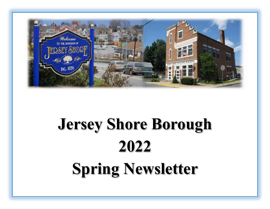

# **Jersey Shore Borough 2022 Spring Newsletter**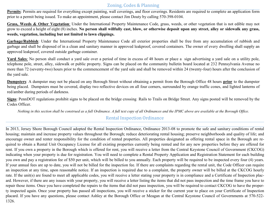### Zoning, Codes & Planning

**Permits**: Permits are required for everything except painting, wall coverings, and floor coverings. Residents are required to complete an application form prior to a permit being issued. To make an appointment, please contact Jim Douty by calling 570-398-0104.

**Grass, Weeds & Other Vegetation**: Under the International Property Maintenance Code, grass, weeds, or other vegetation that is not edible may not grow to exceed a height of eight (8) inches. **No person shall willfully cast, blow, or otherwise deposit upon any street, alley or sidewalk any grass, weeds, vegetation, including but not limited to lawn clippings.** 

**Garbage/Rubbish**: Under the International Property Maintenance Code all exterior properties shall be free from any accumulation of rubbish and garbage and shall be disposed of in a clean and sanitary manner in approved leakproof, covered containers. The owner of every dwelling shall supply an approved leakproof, covered outside garbage container.

**Yard Sales**: No person shall conduct a yard sale over a period of time in excess of 48 hours or place a sign advertising a yard sale on a utility pole, telephone pole, street, alley, sidewalk or public property. Signs can be placed on the community bulletin board located at 232 Pennsylvania Avenue no more than 72 (seventy-two) hours prior to the commencement of the yard sale and shall be removed within 24 (twenty-four) hours after the conclusion of the yard sale.

**Dumpsters**: A dumpster may not be placed on any Borough Street without obtaining a permit from the Borough Office 48 hours **prior** to the dumpster being placed. Dumpsters must be covered, display two reflective devices on all four corners, surrounded by orange traffic cones, and lighted lanterns of red/amber during periods of darkness.

**Signs**: PennDOT regulations prohibit signs to be placed on the bridge crossing Rails to Trails on Bridge Street. Any signs posted will be removed by the Codes Officer.

*Nothing in this section shall be construed as a full Ordinance. A full text copy of all Ordinances and the IPMC above are available at the Borough Office.*

### Rental Inspection Ordinance

In 2013, Jersey Shore Borough Council adopted the Rental Inspection Ordinance, Ordinance 2013-08 to promote the safe and sanitary conditions of rental housing; maintain and increase property values throughout the Borough; reduce deteriorating rental housing; preserve neighborhoods and quality of life; and encourage owner and renter responsibility for the condition of rented properties. All properties designated as offering rental space in the Borough are required to obtain a Rental Unit Occupancy License for all existing properties currently being rented and for any new properties before they are offered for rent. If you own a property in the Borough which is offered for rent, you will receive a letter from the Central Keystone Council of Government (CKCOG) indicating when your property is due for registration. You will need to complete a Rental Property Application and Registration Statement for each building you own and pay a registration fee of \$50 per unit, which will be billed to you annually. Each property will be required to be inspected every four (4) years. If your annual fees are up to date, you will not be billed for the inspection fee. If there are complaints regarding the rental unit, the Code Officer can require an inspection at any time, upon reasonable notice. If an inspection is required due to a complaint, the property owner will be billed at the CKCOG hourly rate. If the unit(s) are found to meet all applicable codes, you will receive a letter stating your property is in compliance and a Certificate of Inspection placard. However, if there are any issues with your property, you will receive a letter listing the items that did not pass inspection and the time frame you have to repair those items. Once you have completed the repairs to the items that did not pass inspection, you will be required to contact CKCOG to have the property inspected again. Once your property has passed all inspections, you will receive a sticker for the current year to place on your Certificate of Inspection placard. If you have any questions, please contact Ashley at the Borough Office or Meagan at the Central Keystone Council of Governments at 570-522- 1326.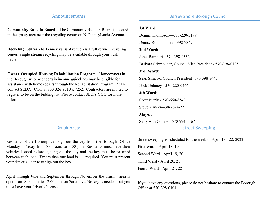### Announcements

**Community Bulletin Board** - The Community Bulletin Board is located in the grassy area near the recycling center on N. Pennsylvania Avenue.

**Recycling Center** - N. Pennsylvania Avenue - is a full service recycling center. Single-stream recycling may be available through your trash hauler.

**Owner-Occupied Housing Rehabilitation Program** - Homeowners in the Borough who meet certain income guidelines may be eligible for assistance with home repairs through the Rehabilitation Program. Please contact SEDA –COG at 800-326-9310 x 7252. Contractors are invited to register to be on the bidding list. Please contact SEDA-COG for more information.

Brush Area:

Residents of the Borough can sign out the key from the Borough Office Monday - Friday from 8:00 a.m. to 3:00 p.m. Residents must have their vehicles loaded before signing out the key and the key must be returned between each load, if more than one load is required. You must present your driver's license to sign out the key.

April through June and September through November the brush area is open from 8:00 a.m. to 12:00 p.m. on Saturdays. No key is needed, but you must have your driver's license.

### **1st Ward:** Dennis Thompson—570-220-3199

Denise Robbins—570-398-7349

#### **2nd Ward:**

Janet Barnhart - 570-398-4532

Barbara Schmouder, Council Vice President - 570-398-0125

### **3rd: Ward:**

Sean Simcox, Council President- 570-398-3443

Dick Delaney - 570-220-0546

### **4th Ward:**

Scott Bierly - 570-660-8542

Steve Kanski—386-624-2211

### **Mayor:**

Sally Ann Combs - 570-974-1467

### Street Sweeping

Street sweeping is scheduled for the week of April 18 - 22, 2022.

First Ward - April 18, 19 Second Ward - April 19, 20 Third Ward - April 20, 21 Fourth Ward - April 21, 22

If you have any questions, please do not hesitate to contact the Borough Office at 570-398-0104.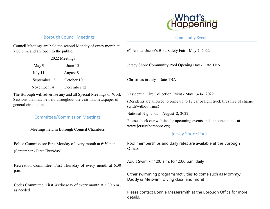

### Borough Council Meetings

Community Events

| Council Meetings are held the second Monday of every month at<br>7:00 p.m. and are open to the public.                                                     |             | 6 <sup>th</sup> Annual Jacob's Bike Safety Fair - May 7, 2022                                                            |
|------------------------------------------------------------------------------------------------------------------------------------------------------------|-------------|--------------------------------------------------------------------------------------------------------------------------|
| 2022 Meetings                                                                                                                                              |             |                                                                                                                          |
| May 9                                                                                                                                                      | June 13     | Jersey Shore Community Pool Opening Day - Date TBA                                                                       |
| July 11                                                                                                                                                    | August 8    |                                                                                                                          |
| September 12                                                                                                                                               | October 10  | Christmas in July - Date TBA                                                                                             |
| November 14                                                                                                                                                | December 12 |                                                                                                                          |
| The Borough will advertise any and all Special Meetings or Work<br>Sessions that may be held throughout the year in a newspaper of<br>general circulation. |             | Residential Tire Collection Event - May 13-14, 2022                                                                      |
|                                                                                                                                                            |             | (Residents are allowed to bring up to 12 car or light truck tires free of charge<br>(with/without rims)                  |
|                                                                                                                                                            |             | National Night out - August 2, 2022                                                                                      |
| <b>Committee/Commission Meetings</b><br>Meetings held in Borough Council Chambers                                                                          |             | Please check our website for upcoming events and announcements at<br>www.jerseyshoreboro.org<br><b>Jersey Shore Pool</b> |
| Police Commission: First Monday of every month at 6:30 p.m.<br>(September - First Thursday)                                                                |             | Pool memberships and daily rates are available at the Borough<br>Office.                                                 |
| Recreation Committee: First Thursday of every month at 6:30                                                                                                |             | Adult Swim - 11:00 a.m. to 12:00 p.m. daily                                                                              |
| p.m.                                                                                                                                                       |             | Other swimming programs/activities to come such as Mommy/<br>Daddy & Me swim, Diving class, and more!                    |
| Codes Committee: First Wednesday of every month at 6:30 p.m.,<br>as needed                                                                                 |             | Please contact Bonnie Messersmith at the Borough Office for more                                                         |

details.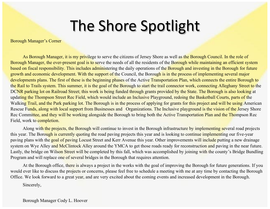# The Shore Spotlight

Borough Manager's Corner

As Borough Manager, it is my privilege to serve the citizens of Jersey Shore as well as the Borough Council. In the role of Borough Manager, the ever-present goal is to serve the needs of all the residents of the Borough while maintaining an efficient system based on fiscal responsibility. This includes administering the daily operations of the Borough and investing in the Borough for future growth and economic development. With the support of the Council, the Borough is in the process of implementing several major developments plans. The first of these is the beginning phases of the Active Transportation Plan, which connects the entire Borough to the Rail to Trails system. This summer, it is the goal of the Borough to start the trail connector work, connecting Alleghany Street to the DCNR parking lot on Railroad Street; this work is being funded through grants provided by the State. The Borough is also looking at updating the Thompson Street Rec Field, which would include an Inclusive Playground, redoing the Basketball Courts, parts of the Walking Trail, and the Park parking lot. The Borough is in the process of applying for grants for this project and will be using American Rescue Funds, along with local support from Businesses and Organizations. The Inclusive playground is the vision of the Jersey Shore Rec Committee, and they will be working alongside the Borough to bring both the Active Transportation Plan and the Thompson Rec Field, work to completion.

Along with the projects, the Borough will continue to invest in the Borough infrastructure by implementing several road projects this year. The Borough is currently quoting the road paving projects this year and is looking to continue implementing our five-year paving plans with the goal of paving Locust Street and Kerr Avenue this year. Other improvements will include putting a new drainage system on Wye Alley and McClintock Alley around the YMCA to get those roads ready for reconstruction and paving in the near future. Lastly, the bridge on Wilson Street will be completed by this fall, which was accomplished by joining with the county's Bridge Bundling Program and will replace one of several bridges in the Borough that requires attention.

At the Borough office, there is always a project in the works with the goal of improving the Borough for future generations. If you would ever like to discuss the projects or concerns, please feel free to schedule a meeting with me at any time by contacting the Borough Office. We look forward to a great year, and are very excited about the coming events and increased development in the Borough.

Sincerely,

Borough Manager Cody L. Hoover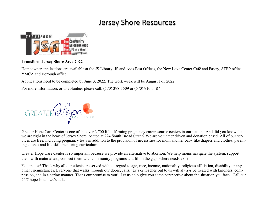## Jersey Shore Resources



### **Transform Jersey Shore Area 2022**

Homeowner applications are available at the JS Library. JS and Avis Post Offices, the New Love Center Café and Pastry, STEP office, YMCA and Borough office.

Applications need to be completed by June 3, 2022. The work week will be August 1-5, 2022.

For more information, or to volunteer please call: (570) 398-1509 or (570) 916-1487



Greater Hope Care Center is one of the over 2,700 life-affirming pregnancy care/resource centers in our nation. And did you know that we are right in the heart of Jersey Shore located at 224 South Broad Street? We are volunteer driven and donation based. All of our services are free, including pregnancy tests in addition to the provision of necessities for mom and her baby like diapers and clothes, parenting classes and life skill mentoring curriculum.

Greater Hope Care Center is so important because we provide an alternative to abortion. We help moms navigate the system, support them with material aid, connect them with community programs and fill in the gaps where needs exist.

You matter! That's why all our clients are served without regard to age, race, income, nationality, religious affiliation, disability or any other circumstances. Everyone that walks through our doors, calls, texts or reaches out to us will always be treated with kindness, compassion, and in a caring manner. That's our promise to you! Let us help give you some perspective about the situation you face. Call our 24/7 hope-line. Let's talk.